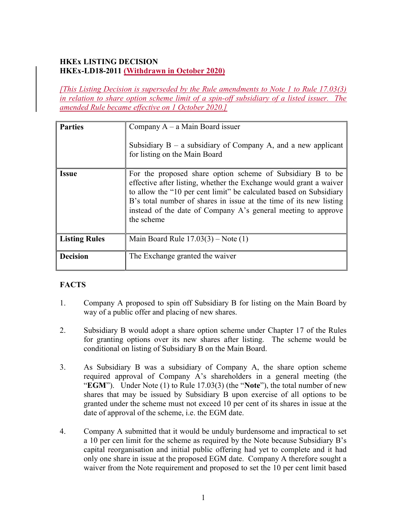## HKEx LISTING DECISION HKEx-LD18-2011 (Withdrawn in October 2020)

[This Listing Decision is superseded by the Rule amendments to Note 1 to Rule 17.03(3) in relation to share option scheme limit of a spin-off subsidiary of a listed issuer. The amended Rule became effective on 1 October 2020.]

| <b>Parties</b>       | Company $A - a$ Main Board issuer<br>Subsidiary $B - a$ subsidiary of Company A, and a new applicant<br>for listing on the Main Board                                                                                                                                                                                                                       |
|----------------------|-------------------------------------------------------------------------------------------------------------------------------------------------------------------------------------------------------------------------------------------------------------------------------------------------------------------------------------------------------------|
| <i><b>Issue</b></i>  | For the proposed share option scheme of Subsidiary B to be<br>effective after listing, whether the Exchange would grant a waiver<br>to allow the "10 per cent limit" be calculated based on Subsidiary<br>B's total number of shares in issue at the time of its new listing<br>instead of the date of Company A's general meeting to approve<br>the scheme |
| <b>Listing Rules</b> | Main Board Rule $17.03(3)$ – Note (1)                                                                                                                                                                                                                                                                                                                       |
| <b>Decision</b>      | The Exchange granted the waiver                                                                                                                                                                                                                                                                                                                             |

## **FACTS**

- 1. Company A proposed to spin off Subsidiary B for listing on the Main Board by way of a public offer and placing of new shares.
- 2. Subsidiary B would adopt a share option scheme under Chapter 17 of the Rules for granting options over its new shares after listing. The scheme would be conditional on listing of Subsidiary B on the Main Board.
- 3. As Subsidiary B was a subsidiary of Company A, the share option scheme required approval of Company A's shareholders in a general meeting (the "EGM"). Under Note  $(1)$  to Rule 17.03 $(3)$  (the "Note"), the total number of new shares that may be issued by Subsidiary B upon exercise of all options to be granted under the scheme must not exceed 10 per cent of its shares in issue at the date of approval of the scheme, i.e. the EGM date.
- 4. Company A submitted that it would be unduly burdensome and impractical to set a 10 per cen limit for the scheme as required by the Note because Subsidiary B's capital reorganisation and initial public offering had yet to complete and it had only one share in issue at the proposed EGM date. Company A therefore sought a waiver from the Note requirement and proposed to set the 10 per cent limit based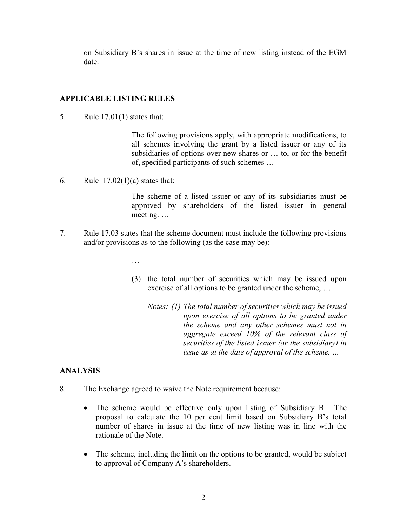on Subsidiary B's shares in issue at the time of new listing instead of the EGM date.

#### APPLICABLE LISTING RULES

5. Rule 17.01(1) states that:

The following provisions apply, with appropriate modifications, to all schemes involving the grant by a listed issuer or any of its subsidiaries of options over new shares or … to, or for the benefit of, specified participants of such schemes …

6. Rule  $17.02(1)(a)$  states that:

The scheme of a listed issuer or any of its subsidiaries must be approved by shareholders of the listed issuer in general meeting. …

- 7. Rule 17.03 states that the scheme document must include the following provisions and/or provisions as to the following (as the case may be):
	- …
	- (3) the total number of securities which may be issued upon exercise of all options to be granted under the scheme, …
		- Notes: (1) The total number of securities which may be issued upon exercise of all options to be granted under the scheme and any other schemes must not in aggregate exceed 10% of the relevant class of securities of the listed issuer (or the subsidiary) in issue as at the date of approval of the scheme. …

### ANALYSIS

- 8. The Exchange agreed to waive the Note requirement because:
	- The scheme would be effective only upon listing of Subsidiary B. The proposal to calculate the 10 per cent limit based on Subsidiary B's total number of shares in issue at the time of new listing was in line with the rationale of the Note.
	- The scheme, including the limit on the options to be granted, would be subject to approval of Company A's shareholders.